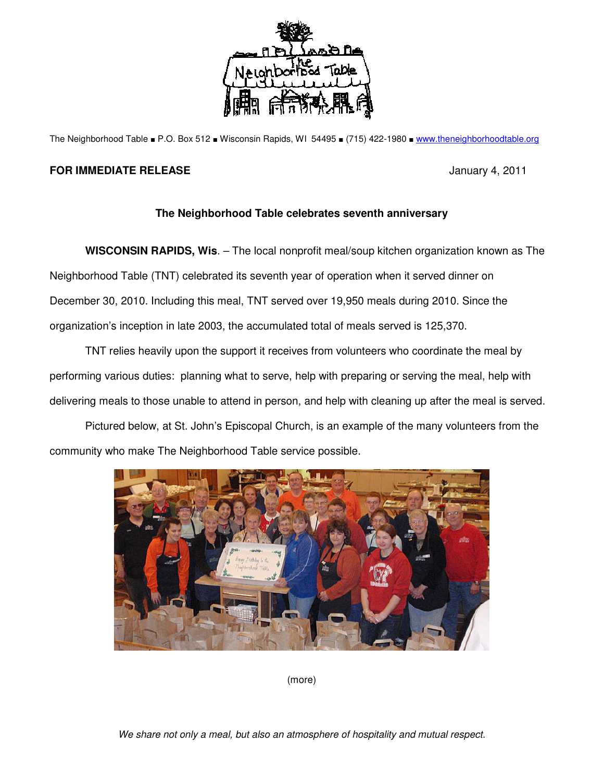

The Neighborhood Table ■ P.O. Box 512 ■ Wisconsin Rapids, WI 54495 ■ (715) 422-1980 ■ www.theneighborhoodtable.org

## **FOR IMMEDIATE RELEASE** *CONTRACTE <b>RELEASE January 4, 2011*

## **The Neighborhood Table celebrates seventh anniversary**

**WISCONSIN RAPIDS, Wis**. – The local nonprofit meal/soup kitchen organization known as The Neighborhood Table (TNT) celebrated its seventh year of operation when it served dinner on December 30, 2010. Including this meal, TNT served over 19,950 meals during 2010. Since the organization's inception in late 2003, the accumulated total of meals served is 125,370.

TNT relies heavily upon the support it receives from volunteers who coordinate the meal by performing various duties: planning what to serve, help with preparing or serving the meal, help with delivering meals to those unable to attend in person, and help with cleaning up after the meal is served.

Pictured below, at St. John's Episcopal Church, is an example of the many volunteers from the community who make The Neighborhood Table service possible.



(more)